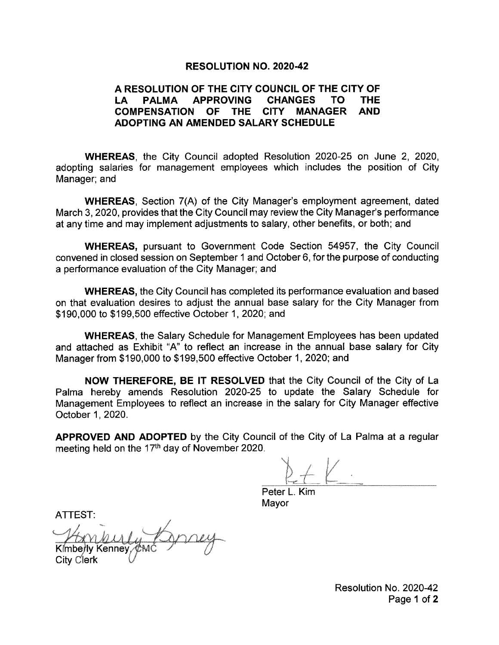### **RESOLUTION NO. 2020-42**

#### A RESOLUTION OF THE CITY COUNCIL OF THE CITY OF **APPROVING CHANGES THE** LA I **PALMA** TO . **COMPENSATION OF THE** CITY MANAGER **AND** ADOPTING AN AMENDED SALARY SCHEDULE

**WHEREAS.** the City Council adopted Resolution 2020-25 on June 2, 2020, adopting salaries for management employees which includes the position of City Manager; and

**WHEREAS, Section 7(A) of the City Manager's employment agreement, dated** March 3, 2020, provides that the City Council may review the City Manager's performance at any time and may implement adjustments to salary, other benefits, or both; and

**WHEREAS, pursuant to Government Code Section 54957, the City Council** convened in closed session on September 1 and October 6, for the purpose of conducting a performance evaluation of the City Manager; and

**WHEREAS, the City Council has completed its performance evaluation and based** on that evaluation desires to adjust the annual base salary for the City Manager from \$190,000 to \$199,500 effective October 1, 2020; and

**WHEREAS, the Salary Schedule for Management Employees has been updated** and attached as Exhibit "A" to reflect an increase in the annual base salary for City Manager from \$190,000 to \$199,500 effective October 1, 2020; and

**NOW THEREFORE, BE IT RESOLVED** that the City Council of the City of La Palma hereby amends Resolution 2020-25 to update the Salary Schedule for Management Employees to reflect an increase in the salary for City Manager effective October 1, 2020.

**APPROVED AND ADOPTED** by the City Council of the City of La Palma at a regular meeting held on the 17<sup>th</sup> day of November 2020.

Peter L. Kim Mayor

ATTEST:

Kimberly Kenney City Clerk

Resolution No. 2020-42 Page 1 of 2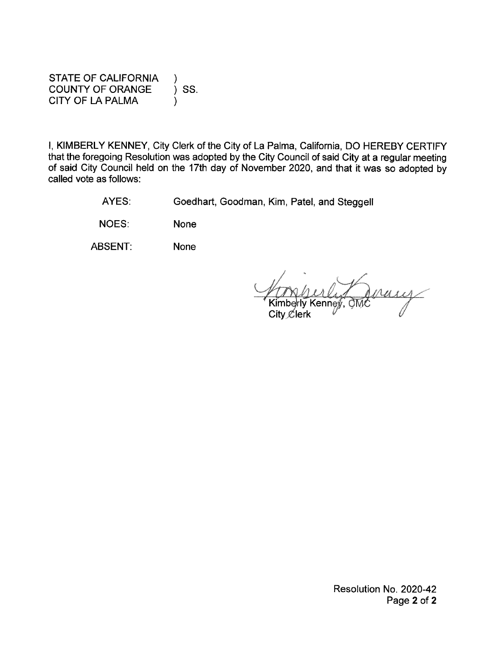**STATE OF CALIFORNIA COUNTY OF ORANGE** ) SS. **CITY OF LA PALMA** 

I, KIMBERLY KENNEY, City Clerk of the City of La Palma, California, DO HEREBY CERTIFY that the foregoing Resolution was adopted by the City Council of said City at a regular meeting of said City Council held on the 17th day of November 2020, and that it was so adopted by called vote as follows:

> Goedhart, Goodman, Kim, Patel, and Steggell AYES:

NOES: **None** 

ABSENT: **None** 

City  $\mathcal{L}$ lerk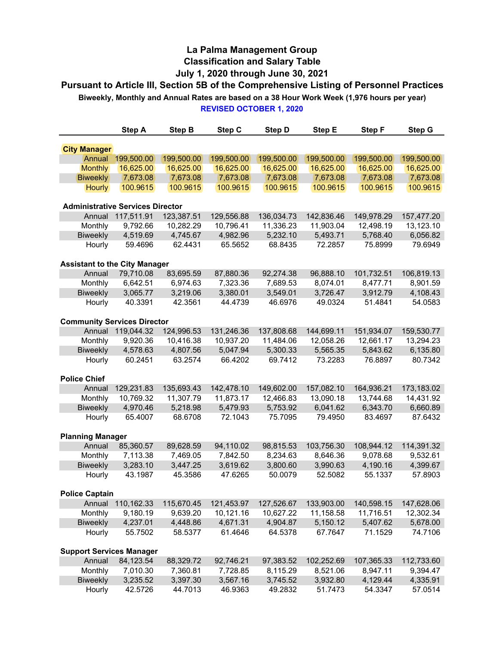# **La Palma Management Group Classification and Salary Table July 1, 2020 through June 30, 2021**

**REVISED OCTOBER 1, 2020 Pursuant to Article III, Section 5B of the Comprehensive Listing of Personnel Practices Biweekly, Monthly and Annual Rates are based on a 38 Hour Work Week (1,976 hours per year)**

|                                         | <b>Step A</b>       | <b>Step B</b>       | Step C              | <b>Step D</b> | Step E              | Step F              | <b>Step G</b>       |  |
|-----------------------------------------|---------------------|---------------------|---------------------|---------------|---------------------|---------------------|---------------------|--|
| <b>City Manager</b>                     |                     |                     |                     |               |                     |                     |                     |  |
| Annual                                  | 199,500.00          | 199,500.00          | 199,500.00          | 199,500.00    | 199,500.00          | 199,500.00          | 199,500.00          |  |
| <b>Monthly</b>                          | 16,625.00           | 16,625.00           | 16,625.00           | 16,625.00     | 16,625.00           | 16,625.00           | 16,625.00           |  |
| <b>Biweekly</b>                         | 7,673.08            | 7,673.08            | 7,673.08            | 7,673.08      | 7,673.08            | 7,673.08            | 7,673.08            |  |
| <b>Hourly</b>                           | 100.9615            | 100.9615            | 100.9615            | 100.9615      | 100.9615            | 100.9615            | 100.9615            |  |
|                                         |                     |                     |                     |               |                     |                     |                     |  |
| <b>Administrative Services Director</b> |                     |                     |                     |               |                     |                     |                     |  |
| Annual                                  | 117,511.91          | 123,387.51          | 129,556.88          | 136,034.73    | 142,836.46          | 149,978.29          | 157,477.20          |  |
| Monthly                                 | 9,792.66            | 10,282.29           | 10,796.41           | 11,336.23     | 11,903.04           | 12,498.19           | 13,123.10           |  |
| <b>Biweekly</b>                         | 4,519.69            | 4,745.67            | 4,982.96            | 5,232.10      | 5,493.71            | 5,768.40            | 6,056.82            |  |
| Hourly                                  | 59.4696             | 62.4431             | 65.5652             | 68.8435       | 72.2857             | 75.8999             | 79.6949             |  |
|                                         |                     |                     |                     |               |                     |                     |                     |  |
| <b>Assistant to the City Manager</b>    |                     |                     |                     |               |                     |                     |                     |  |
| Annual                                  | 79,710.08           | 83,695.59           | 87,880.36           | 92,274.38     | 96,888.10           | 101,732.51          | 106,819.13          |  |
| Monthly                                 | 6,642.51            | 6,974.63            | 7,323.36            | 7,689.53      | 8,074.01            | 8,477.71            | 8,901.59            |  |
| Biweekly                                | 3,065.77            | 3,219.06            | 3,380.01            | 3,549.01      | 3,726.47            | 3,912.79            | 4,108.43            |  |
| Hourly                                  | 40.3391             | 42.3561             | 44.4739             | 46.6976       | 49.0324             | 51.4841             | 54.0583             |  |
| <b>Community Services Director</b>      |                     |                     |                     |               |                     |                     |                     |  |
| Annual                                  | 119,044.32          | 124,996.53          | 131,246.36          | 137,808.68    | 144,699.11          | 151,934.07          | 159,530.77          |  |
|                                         | 9,920.36            | 10,416.38           | 10,937.20           | 11,484.06     | 12,058.26           | 12,661.17           | 13,294.23           |  |
| Monthly                                 |                     |                     |                     | 5,300.33      |                     |                     |                     |  |
| <b>Biweekly</b>                         | 4,578.63<br>60.2451 | 4,807.56<br>63.2574 | 5,047.94<br>66.4202 | 69.7412       | 5,565.35<br>73.2283 | 5,843.62<br>76.8897 | 6,135.80<br>80.7342 |  |
| Hourly                                  |                     |                     |                     |               |                     |                     |                     |  |
| <b>Police Chief</b>                     |                     |                     |                     |               |                     |                     |                     |  |
| Annual                                  | 129,231.83          | 135,693.43          | 142,478.10          | 149,602.00    | 157,082.10          | 164,936.21          | 173,183.02          |  |
| Monthly                                 | 10,769.32           | 11,307.79           | 11,873.17           | 12,466.83     | 13,090.18           | 13,744.68           | 14,431.92           |  |
| <b>Biweekly</b>                         | 4,970.46            | 5,218.98            | 5,479.93            | 5,753.92      | 6,041.62            | 6,343.70            | 6,660.89            |  |
| Hourly                                  | 65.4007             | 68.6708             | 72.1043             | 75.7095       | 79.4950             | 83.4697             | 87.6432             |  |
|                                         |                     |                     |                     |               |                     |                     |                     |  |
| <b>Planning Manager</b>                 |                     |                     |                     |               |                     |                     |                     |  |
| Annual                                  | 85,360.57           | 89,628.59           | 94,110.02           | 98,815.53     | 103,756.30          | 108,944.12          | 114,391.32          |  |
| Monthly                                 | 7,113.38            | 7,469.05            | 7,842.50            | 8,234.63      | 8,646.36            | 9,078.68            | 9,532.61            |  |
| <b>Biweekly</b>                         | 3,283.10            | 3,447.25            | 3,619.62            | 3,800.60      | 3,990.63            | 4,190.16            | 4,399.67            |  |
| Hourly                                  | 43.1987             | 45.3586             | 47.6265             | 50.0079       | 52.5082             | 55.1337             | 57.8903             |  |
| <b>Police Captain</b>                   |                     |                     |                     |               |                     |                     |                     |  |
| Annual                                  | 110,162.33          | 115,670.45          | 121,453.97          | 127,526.67    | 133,903.00          | 140,598.15          | 147,628.06          |  |
| Monthly                                 | 9,180.19            | 9,639.20            | 10,121.16           | 10,627.22     | 11,158.58           | 11,716.51           | 12,302.34           |  |
| <b>Biweekly</b>                         | 4,237.01            | 4,448.86            | 4,671.31            | 4,904.87      | 5,150.12            | 5,407.62            | 5,678.00            |  |
| Hourly                                  | 55.7502             | 58.5377             | 61.4646             | 64.5378       | 67.7647             | 71.1529             | 74.7106             |  |
|                                         |                     |                     |                     |               |                     |                     |                     |  |
| <b>Support Services Manager</b>         |                     |                     |                     |               |                     |                     |                     |  |
| Annual                                  | 84,123.54           | 88,329.72           | 92,746.21           | 97,383.52     | 102,252.69          | 107,365.33          | 112,733.60          |  |
| Monthly                                 | 7,010.30            | 7,360.81            | 7,728.85            | 8,115.29      | 8,521.06            | 8,947.11            | 9,394.47            |  |
| <b>Biweekly</b>                         | 3,235.52            | 3,397.30            | 3,567.16            | 3,745.52      | 3,932.80            | 4,129.44            | 4,335.91            |  |
| Hourly                                  | 42.5726             | 44.7013             | 46.9363             | 49.2832       | 51.7473             | 54.3347             | 57.0514             |  |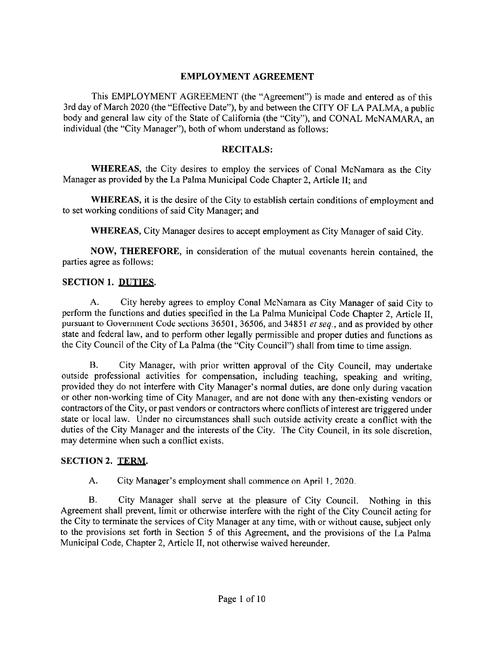# **EMPLOYMENT AGREEMENT**

This EMPLOYMENT AGREEMENT (the "Agreement") is made and entered as of this 3rd day of March 2020 (the "Effective Date"), by and between the CITY OF LA PALMA, a public body and general law city of the State of California (the "City"), and CONAL McNAMARA, an individual (the "City Manager"), both of whom understand as follows:

## **RECITALS:**

**WHEREAS**, the City desires to employ the services of Conal McNamara as the City Manager as provided by the La Palma Municipal Code Chapter 2, Article II; and

WHEREAS, it is the desire of the City to establish certain conditions of employment and to set working conditions of said City Manager; and

WHEREAS, City Manager desires to accept employment as City Manager of said City.

NOW, THEREFORE, in consideration of the mutual covenants herein contained, the parties agree as follows:

# **SECTION 1. DUTIES.**

 $A<sub>1</sub>$ City hereby agrees to employ Conal McNamara as City Manager of said City to perform the functions and duties specified in the La Palma Municipal Code Chapter 2, Article II, pursuant to Government Code sections 36501, 36506, and 34851 et seq., and as provided by other state and federal law, and to perform other legally permissible and proper duties and functions as the City Council of the City of La Palma (the "City Council") shall from time to time assign.

**B.** City Manager, with prior written approval of the City Council, may undertake outside professional activities for compensation, including teaching, speaking and writing, provided they do not interfere with City Manager's normal duties, are done only during vacation or other non-working time of City Manager, and are not done with any then-existing vendors or contractors of the City, or past vendors or contractors where conflicts of interest are triggered under state or local law. Under no circumstances shall such outside activity create a conflict with the duties of the City Manager and the interests of the City. The City Council, in its sole discretion, may determine when such a conflict exists.

# **SECTION 2. TERM.**

A. City Manager's employment shall commence on April 1, 2020.

 $\mathbf{B}$ City Manager shall serve at the pleasure of City Council. Nothing in this Agreement shall prevent, limit or otherwise interfere with the right of the City Council acting for the City to terminate the services of City Manager at any time, with or without cause, subject only to the provisions set forth in Section 5 of this Agreement, and the provisions of the La Palma Municipal Code, Chapter 2, Article II, not otherwise waived hereunder.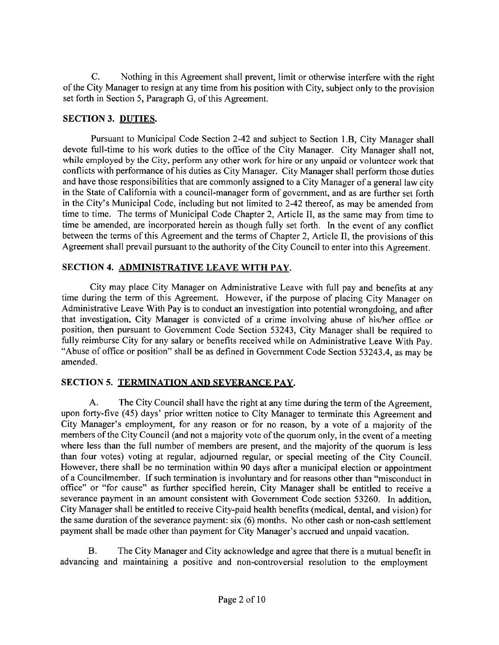$C_{\cdot}$ Nothing in this Agreement shall prevent, limit or otherwise interfere with the right of the City Manager to resign at any time from his position with City, subject only to the provision set forth in Section 5, Paragraph G, of this Agreement.

## **SECTION 3. DUTIES.**

Pursuant to Municipal Code Section 2-42 and subject to Section 1.B, City Manager shall devote full-time to his work duties to the office of the City Manager. City Manager shall not. while employed by the City, perform any other work for hire or any unpaid or volunteer work that conflicts with performance of his duties as City Manager. City Manager shall perform those duties and have those responsibilities that are commonly assigned to a City Manager of a general law city in the State of California with a council-manager form of government, and as are further set forth in the City's Municipal Code, including but not limited to 2-42 thereof, as may be amended from time to time. The terms of Municipal Code Chapter 2, Article II, as the same may from time to time be amended, are incorporated herein as though fully set forth. In the event of any conflict between the terms of this Agreement and the terms of Chapter 2, Article II, the provisions of this Agreement shall prevail pursuant to the authority of the City Council to enter into this Agreement.

## SECTION 4. ADMINISTRATIVE LEAVE WITH PAY.

City may place City Manager on Administrative Leave with full pay and benefits at any time during the term of this Agreement. However, if the purpose of placing City Manager on Administrative Leave With Pay is to conduct an investigation into potential wrongdoing, and after that investigation, City Manager is convicted of a crime involving abuse of his/her office or position, then pursuant to Government Code Section 53243, City Manager shall be required to fully reimburse City for any salary or benefits received while on Administrative Leave With Pay. "Abuse of office or position" shall be as defined in Government Code Section 53243.4, as may be amended.

# SECTION 5. TERMINATION AND SEVERANCE PAY.

 $A_{\cdot}$ The City Council shall have the right at any time during the term of the Agreement, upon forty-five (45) days' prior written notice to City Manager to terminate this Agreement and City Manager's employment, for any reason or for no reason, by a vote of a majority of the members of the City Council (and not a majority vote of the quorum only, in the event of a meeting where less than the full number of members are present, and the majority of the quorum is less than four votes) voting at regular, adjourned regular, or special meeting of the City Council. However, there shall be no termination within 90 days after a municipal election or appointment of a Councilmember. If such termination is involuntary and for reasons other than "misconduct in office" or "for cause" as further specified herein, City Manager shall be entitled to receive a severance payment in an amount consistent with Government Code section 53260. In addition, City Manager shall be entitled to receive City-paid health benefits (medical, dental, and vision) for the same duration of the severance payment: six (6) months. No other cash or non-cash settlement payment shall be made other than payment for City Manager's accrued and unpaid vacation.

 $B.$ The City Manager and City acknowledge and agree that there is a mutual benefit in advancing and maintaining a positive and non-controversial resolution to the employment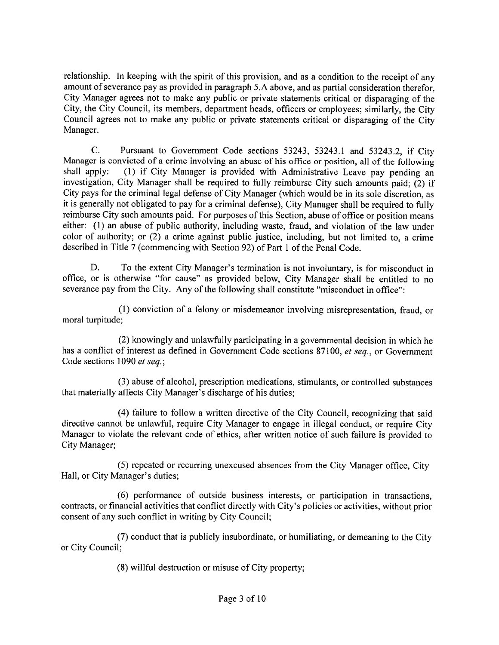relationship. In keeping with the spirit of this provision, and as a condition to the receipt of any amount of severance pay as provided in paragraph 5.A above, and as partial consideration therefor, City Manager agrees not to make any public or private statements critical or disparaging of the City, the City Council, its members, department heads, officers or employees; similarly, the City Council agrees not to make any public or private statements critical or disparaging of the City Manager.

Pursuant to Government Code sections 53243, 53243.1 and 53243.2, if City  $C_{\cdot}$ Manager is convicted of a crime involving an abuse of his office or position, all of the following (1) if City Manager is provided with Administrative Leave pay pending an shall apply: investigation, City Manager shall be required to fully reimburse City such amounts paid; (2) if City pays for the criminal legal defense of City Manager (which would be in its sole discretion, as it is generally not obligated to pay for a criminal defense), City Manager shall be required to fully reimburse City such amounts paid. For purposes of this Section, abuse of office or position means either: (1) an abuse of public authority, including waste, fraud, and violation of the law under color of authority; or (2) a crime against public justice, including, but not limited to, a crime described in Title 7 (commencing with Section 92) of Part 1 of the Penal Code.

D. To the extent City Manager's termination is not involuntary, is for misconduct in office, or is otherwise "for cause" as provided below, City Manager shall be entitled to no severance pay from the City. Any of the following shall constitute "misconduct in office":

(1) conviction of a felony or misdemeanor involving misrepresentation, fraud, or moral turpitude;

(2) knowingly and unlawfully participating in a governmental decision in which he has a conflict of interest as defined in Government Code sections 87100, et seq., or Government Code sections 1090 et seq.;

(3) abuse of alcohol, prescription medications, stimulants, or controlled substances that materially affects City Manager's discharge of his duties;

(4) failure to follow a written directive of the City Council, recognizing that said directive cannot be unlawful, require City Manager to engage in illegal conduct, or require City Manager to violate the relevant code of ethics, after written notice of such failure is provided to City Manager;

(5) repeated or recurring unexcused absences from the City Manager office, City Hall, or City Manager's duties;

(6) performance of outside business interests, or participation in transactions, contracts, or financial activities that conflict directly with City's policies or activities, without prior consent of any such conflict in writing by City Council;

(7) conduct that is publicly insubordinate, or humiliating, or demeaning to the City or City Council:

(8) willful destruction or misuse of City property;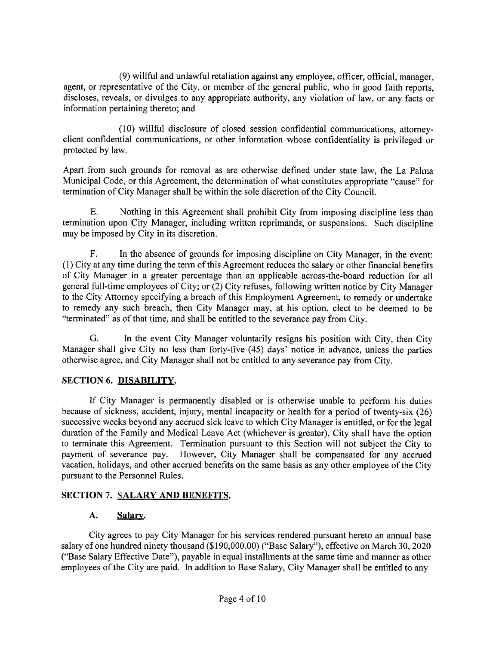(9) willful and unlawful retaliation against any employee, officer, official, manager, agent, or representative of the City, or member of the general public, who in good faith reports, discloses, reveals, or divulges to any appropriate authority, any violation of law, or any facts or information pertaining thereto; and

(10) willful disclosure of closed session confidential communications, attorneyclient confidential communications, or other information whose confidentiality is privileged or protected by law.

Apart from such grounds for removal as are otherwise defined under state law, the La Palma Municipal Code, or this Agreement, the determination of what constitutes appropriate "cause" for termination of City Manager shall be within the sole discretion of the City Council.

Ε. Nothing in this Agreement shall prohibit City from imposing discipline less than termination upon City Manager, including written reprimands, or suspensions. Such discipline may be imposed by City in its discretion.

F. In the absence of grounds for imposing discipline on City Manager, in the event: (1) City at any time during the term of this Agreement reduces the salary or other financial benefits of City Manager in a greater percentage than an applicable across-the-board reduction for all general full-time employees of City; or (2) City refuses, following written notice by City Manager to the City Attorney specifying a breach of this Employment Agreement, to remedy or undertake to remedy any such breach, then City Manager may, at his option, elect to be deemed to be "terminated" as of that time, and shall be entitled to the severance pay from City.

In the event City Manager voluntarily resigns his position with City, then City G. Manager shall give City no less than forty-five (45) days' notice in advance, unless the parties otherwise agree, and City Manager shall not be entitled to any severance pay from City.

# **SECTION 6. DISABILITY.**

If City Manager is permanently disabled or is otherwise unable to perform his duties because of sickness, accident, injury, mental incapacity or health for a period of twenty-six (26) successive weeks beyond any accrued sick leave to which City Manager is entitled, or for the legal duration of the Family and Medical Leave Act (whichever is greater), City shall have the option to terminate this Agreement. Termination pursuant to this Section will not subject the City to payment of severance pay. However, City Manager shall be compensated for any accrued vacation, holidays, and other accrued benefits on the same basis as any other employee of the City pursuant to the Personnel Rules.

# **SECTION 7. SALARY AND BENEFITS.**

#### A. Salary.

City agrees to pay City Manager for his services rendered pursuant hereto an annual base salary of one hundred ninety thousand (\$190,000.00) ("Base Salary"), effective on March 30, 2020 ("Base Salary Effective Date"), payable in equal installments at the same time and manner as other employees of the City are paid. In addition to Base Salary, City Manager shall be entitled to any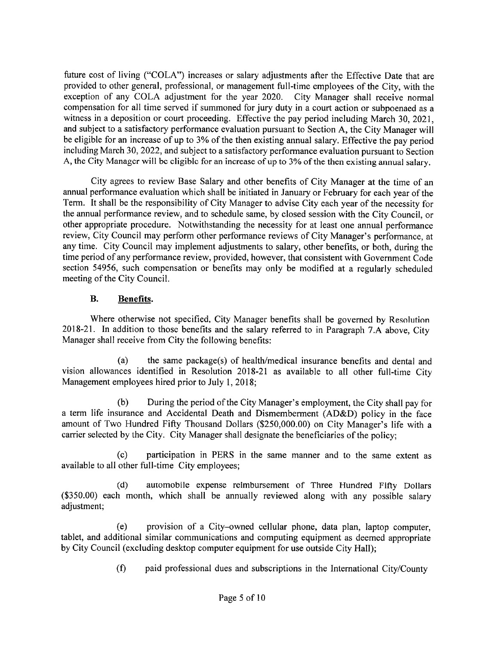future cost of living ("COLA") increases or salary adjustments after the Effective Date that are provided to other general, professional, or management full-time employees of the City, with the exception of any COLA adjustment for the year 2020. City Manager shall receive normal compensation for all time served if summoned for jury duty in a court action or subpoenaed as a witness in a deposition or court proceeding. Effective the pay period including March 30, 2021, and subject to a satisfactory performance evaluation pursuant to Section A, the City Manager will be eligible for an increase of up to 3% of the then existing annual salary. Effective the pay period including March 30, 2022, and subject to a satisfactory performance evaluation pursuant to Section A, the City Manager will be eligible for an increase of up to 3% of the then existing annual salary.

City agrees to review Base Salary and other benefits of City Manager at the time of an annual performance evaluation which shall be initiated in January or February for each year of the Term. It shall be the responsibility of City Manager to advise City each year of the necessity for the annual performance review, and to schedule same, by closed session with the City Council, or other appropriate procedure. Notwithstanding the necessity for at least one annual performance review, City Council may perform other performance reviews of City Manager's performance, at any time. City Council may implement adjustments to salary, other benefits, or both, during the time period of any performance review, provided, however, that consistent with Government Code section 54956, such compensation or benefits may only be modified at a regularly scheduled meeting of the City Council.

#### **B.** Benefits.

Where otherwise not specified, City Manager benefits shall be governed by Resolution 2018-21. In addition to those benefits and the salary referred to in Paragraph 7.A above, City Manager shall receive from City the following benefits:

 $(a)$ the same package(s) of health/medical insurance benefits and dental and vision allowances identified in Resolution 2018-21 as available to all other full-time City Management employees hired prior to July 1, 2018;

During the period of the City Manager's employment, the City shall pay for  $(b)$ a term life insurance and Accidental Death and Dismemberment (AD&D) policy in the face amount of Two Hundred Fifty Thousand Dollars (\$250,000.00) on City Manager's life with a carrier selected by the City. City Manager shall designate the beneficiaries of the policy;

participation in PERS in the same manner and to the same extent as  $(c)$ available to all other full-time City employees;

 $(d)$ automobile expense reimbursement of Three Hundred Fifty Dollars (\$350.00) each month, which shall be annually reviewed along with any possible salary adjustment;

provision of a City-owned cellular phone, data plan, laptop computer.  $(e)$ tablet, and additional similar communications and computing equipment as deemed appropriate by City Council (excluding desktop computer equipment for use outside City Hall);

> $(f)$ paid professional dues and subscriptions in the International City/County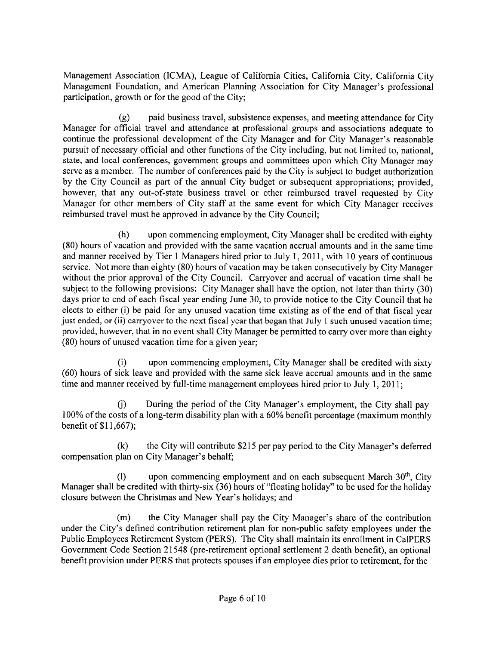Management Association (ICMA), League of California Cities, California City, California City Management Foundation, and American Planning Association for City Manager's professional participation, growth or for the good of the City;

paid business travel, subsistence expenses, and meeting attendance for City  $(g)$ Manager for official travel and attendance at professional groups and associations adequate to continue the professional development of the City Manager and for City Manager's reasonable pursuit of necessary official and other functions of the City including, but not limited to, national, state, and local conferences, government groups and committees upon which City Manager may serve as a member. The number of conferences paid by the City is subject to budget authorization by the City Council as part of the annual City budget or subsequent appropriations; provided, however, that any out-of-state business travel or other reimbursed travel requested by City Manager for other members of City staff at the same event for which City Manager receives reimbursed travel must be approved in advance by the City Council;

 $(h)$ upon commencing employment, City Manager shall be credited with eighty (80) hours of vacation and provided with the same vacation accrual amounts and in the same time and manner received by Tier 1 Managers hired prior to July 1, 2011, with 10 years of continuous service. Not more than eighty (80) hours of vacation may be taken consecutively by City Manager without the prior approval of the City Council. Carryover and accrual of vacation time shall be subject to the following provisions: City Manager shall have the option, not later than thirty (30) days prior to end of each fiscal year ending June 30, to provide notice to the City Council that he elects to either (i) be paid for any unused vacation time existing as of the end of that fiscal year just ended, or (ii) carryover to the next fiscal year that began that July 1 such unused vacation time; provided, however, that in no event shall City Manager be permitted to carry over more than eighty (80) hours of unused vacation time for a given year;

 $(i)$ upon commencing employment, City Manager shall be credited with sixty (60) hours of sick leave and provided with the same sick leave accrual amounts and in the same time and manner received by full-time management employees hired prior to July 1, 2011;

(i) During the period of the City Manager's employment, the City shall pay 100% of the costs of a long-term disability plan with a 60% benefit percentage (maximum monthly benefit of \$11,667);

 $(k)$ the City will contribute \$215 per pay period to the City Manager's deferred compensation plan on City Manager's behalf;

upon commencing employment and on each subsequent March 30<sup>th</sup>, City  $(1)$ Manager shall be credited with thirty-six (36) hours of "floating holiday" to be used for the holiday closure between the Christmas and New Year's holidays; and

the City Manager shall pay the City Manager's share of the contribution  $(m)$ under the City's defined contribution retirement plan for non-public safety employees under the Public Employees Retirement System (PERS). The City shall maintain its enrollment in CalPERS Government Code Section 21548 (pre-retirement optional settlement 2 death benefit), an optional benefit provision under PERS that protects spouses if an employee dies prior to retirement, for the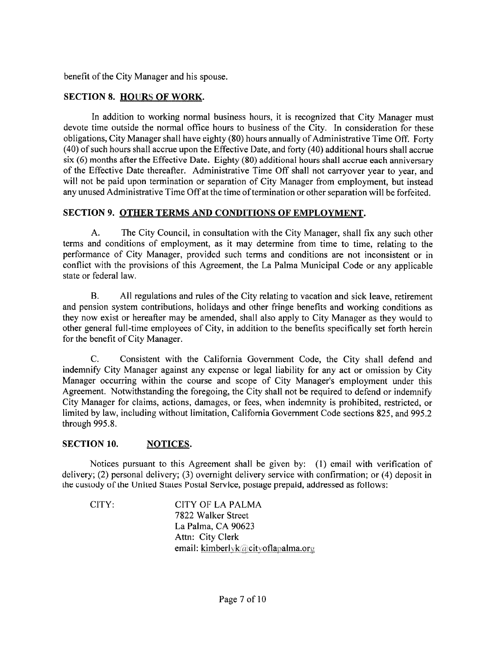benefit of the City Manager and his spouse.

# **SECTION 8. HOURS OF WORK.**

In addition to working normal business hours, it is recognized that City Manager must devote time outside the normal office hours to business of the City. In consideration for these obligations, City Manager shall have eighty (80) hours annually of Administrative Time Off. Forty (40) of such hours shall accrue upon the Effective Date, and forty (40) additional hours shall accrue six (6) months after the Effective Date. Eighty (80) additional hours shall accrue each anniversary of the Effective Date thereafter. Administrative Time Off shall not carryover year to year, and will not be paid upon termination or separation of City Manager from employment, but instead any unused Administrative Time Off at the time of termination or other separation will be forfeited.

## SECTION 9. OTHER TERMS AND CONDITIONS OF EMPLOYMENT.

 $A.$ The City Council, in consultation with the City Manager, shall fix any such other terms and conditions of employment, as it may determine from time to time, relating to the performance of City Manager, provided such terms and conditions are not inconsistent or in conflict with the provisions of this Agreement, the La Palma Municipal Code or any applicable state or federal law.

**B.** All regulations and rules of the City relating to vacation and sick leave, retirement and pension system contributions, holidays and other fringe benefits and working conditions as they now exist or hereafter may be amended, shall also apply to City Manager as they would to other general full-time employees of City, in addition to the benefits specifically set forth herein for the benefit of City Manager.

Consistent with the California Government Code, the City shall defend and C. indemnify City Manager against any expense or legal liability for any act or omission by City Manager occurring within the course and scope of City Manager's employment under this Agreement. Notwithstanding the foregoing, the City shall not be required to defend or indemnify City Manager for claims, actions, damages, or fees, when indemnity is prohibited, restricted, or limited by law, including without limitation, California Government Code sections 825, and 995.2 through 995.8.

#### **SECTION 10.** NOTICES.

Notices pursuant to this Agreement shall be given by: (1) email with verification of delivery; (2) personal delivery; (3) overnight delivery service with confirmation; or (4) deposit in the custody of the United States Postal Service, postage prepaid, addressed as follows;

CITY: **CITY OF LA PALMA** 7822 Walker Street La Palma, CA 90623 Attn: City Clerk email: kimberlyk@cityoflapalma.org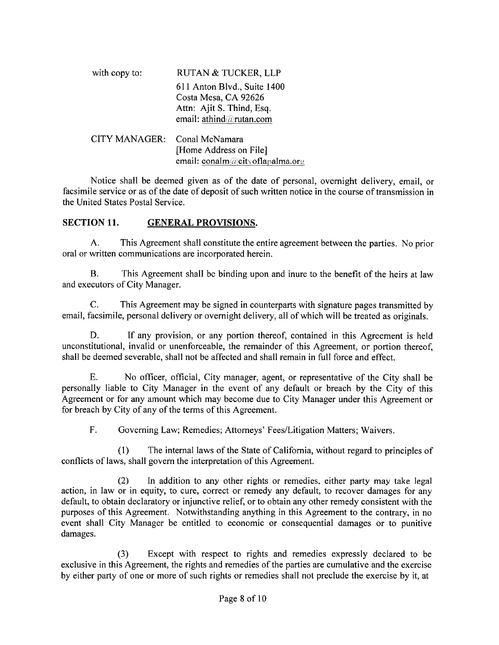| with copy to: | <b>RUTAN &amp; TUCKER, LLP</b>                                                                              |  |  |  |  |
|---------------|-------------------------------------------------------------------------------------------------------------|--|--|--|--|
|               | 611 Anton Blvd., Suite 1400<br>Costa Mesa, CA 92626<br>Attn: Ajit S. Thind, Esq.<br>email: athind@rutan.com |  |  |  |  |
| CITY MANAGER: | Conal McNamara<br>[Home Address on File]<br>email: conalm@cityoflapalma.org                                 |  |  |  |  |

Notice shall be deemed given as of the date of personal, overnight delivery, email, or facsimile service or as of the date of deposit of such written notice in the course of transmission in the United States Postal Service.

#### **SECTION 11. GENERAL PROVISIONS.**

This Agreement shall constitute the entire agreement between the parties. No prior A. oral or written communications are incorporated herein.

This Agreement shall be binding upon and inure to the benefit of the heirs at law В. and executors of City Manager.

C. This Agreement may be signed in counterparts with signature pages transmitted by email, facsimile, personal delivery or overnight delivery, all of which will be treated as originals.

D. If any provision, or any portion thereof, contained in this Agreement is held unconstitutional, invalid or unenforceable, the remainder of this Agreement, or portion thereof, shall be deemed severable, shall not be affected and shall remain in full force and effect.

No officer, official, City manager, agent, or representative of the City shall be Е. personally liable to City Manager in the event of any default or breach by the City of this Agreement or for any amount which may become due to City Manager under this Agreement or for breach by City of any of the terms of this Agreement.

 $F_{\cdot}$ Governing Law; Remedies; Attorneys' Fees/Litigation Matters; Waivers.

The internal laws of the State of California, without regard to principles of  $(1)$ conflicts of laws, shall govern the interpretation of this Agreement.

In addition to any other rights or remedies, either party may take legal  $(2)$ action, in law or in equity, to cure, correct or remedy any default, to recover damages for any default, to obtain declaratory or injunctive relief, or to obtain any other remedy consistent with the purposes of this Agreement. Notwithstanding anything in this Agreement to the contrary, in no event shall City Manager be entitled to economic or consequential damages or to punitive damages.

Except with respect to rights and remedies expressly declared to be  $(3)$ exclusive in this Agreement, the rights and remedies of the parties are cumulative and the exercise by either party of one or more of such rights or remedies shall not preclude the exercise by it, at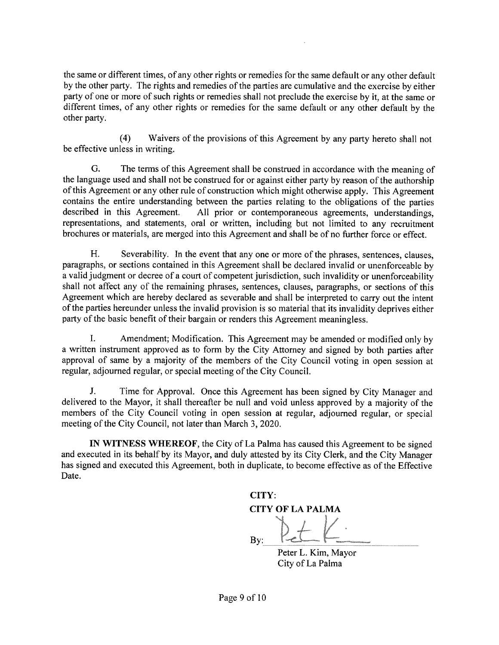the same or different times, of any other rights or remedies for the same default or any other default by the other party. The rights and remedies of the parties are cumulative and the exercise by either party of one or more of such rights or remedies shall not preclude the exercise by it, at the same or different times, of any other rights or remedies for the same default or any other default by the other party.

 $(4)$ Waivers of the provisions of this Agreement by any party hereto shall not be effective unless in writing.

G. The terms of this Agreement shall be construed in accordance with the meaning of the language used and shall not be construed for or against either party by reason of the authorship of this Agreement or any other rule of construction which might otherwise apply. This Agreement contains the entire understanding between the parties relating to the obligations of the parties described in this Agreement. All prior or contemporaneous agreements, understandings, representations, and statements, oral or written, including but not limited to any recruitment brochures or materials, are merged into this Agreement and shall be of no further force or effect.

H. Severability. In the event that any one or more of the phrases, sentences, clauses, paragraphs, or sections contained in this Agreement shall be declared invalid or unenforceable by a valid judgment or decree of a court of competent jurisdiction, such invalidity or unenforceability shall not affect any of the remaining phrases, sentences, clauses, paragraphs, or sections of this Agreement which are hereby declared as severable and shall be interpreted to carry out the intent of the parties hereunder unless the invalid provision is so material that its invalidity deprives either party of the basic benefit of their bargain or renders this Agreement meaningless.

Amendment; Modification. This Agreement may be amended or modified only by I. a written instrument approved as to form by the City Attorney and signed by both parties after approval of same by a majority of the members of the City Council voting in open session at regular, adjourned regular, or special meeting of the City Council.

J. Time for Approval. Once this Agreement has been signed by City Manager and delivered to the Mayor, it shall thereafter be null and void unless approved by a majority of the members of the City Council voting in open session at regular, adjourned regular, or special meeting of the City Council, not later than March 3, 2020.

IN WITNESS WHEREOF, the City of La Palma has caused this Agreement to be signed and executed in its behalf by its Mayor, and duly attested by its City Clerk, and the City Manager has signed and executed this Agreement, both in duplicate, to become effective as of the Effective Date.

CITY: **CITY OF LA PALMA**  $Bv$ : Peter L. Kim, Mayor

City of La Palma